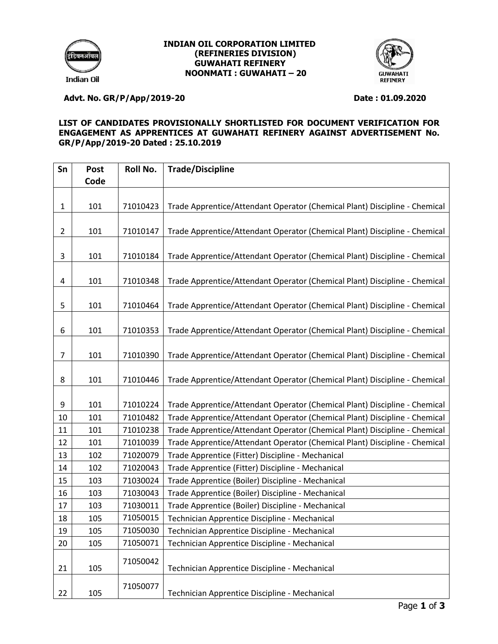

### **INDIAN OIL CORPORATION LIMITED (REFINERIES DIVISION) GUWAHATI REFINERY NOONMATI : GUWAHATI – 20**



# **Advt. No. GR/P/App/2019-20 Date : 01.09.2020**

### **LIST OF CANDIDATES PROVISIONALLY SHORTLISTED FOR DOCUMENT VERIFICATION FOR ENGAGEMENT AS APPRENTICES AT GUWAHATI REFINERY AGAINST ADVERTISEMENT No. GR/P/App/2019-20 Dated : 25.10.2019**

| Sn             | <b>Post</b> | Roll No. | <b>Trade/Discipline</b>                                                    |
|----------------|-------------|----------|----------------------------------------------------------------------------|
|                | Code        |          |                                                                            |
| 1              | 101         | 71010423 | Trade Apprentice/Attendant Operator (Chemical Plant) Discipline - Chemical |
|                |             |          |                                                                            |
| $\overline{2}$ | 101         | 71010147 | Trade Apprentice/Attendant Operator (Chemical Plant) Discipline - Chemical |
| 3              | 101         | 71010184 | Trade Apprentice/Attendant Operator (Chemical Plant) Discipline - Chemical |
|                |             |          |                                                                            |
| 4              | 101         | 71010348 | Trade Apprentice/Attendant Operator (Chemical Plant) Discipline - Chemical |
|                |             |          |                                                                            |
| 5              | 101         | 71010464 | Trade Apprentice/Attendant Operator (Chemical Plant) Discipline - Chemical |
| 6              | 101         | 71010353 | Trade Apprentice/Attendant Operator (Chemical Plant) Discipline - Chemical |
|                |             |          |                                                                            |
| 7              | 101         | 71010390 | Trade Apprentice/Attendant Operator (Chemical Plant) Discipline - Chemical |
| 8              | 101         | 71010446 | Trade Apprentice/Attendant Operator (Chemical Plant) Discipline - Chemical |
|                |             |          |                                                                            |
| 9              | 101         | 71010224 | Trade Apprentice/Attendant Operator (Chemical Plant) Discipline - Chemical |
| 10             | 101         | 71010482 | Trade Apprentice/Attendant Operator (Chemical Plant) Discipline - Chemical |
| 11             | 101         | 71010238 | Trade Apprentice/Attendant Operator (Chemical Plant) Discipline - Chemical |
| 12             | 101         | 71010039 | Trade Apprentice/Attendant Operator (Chemical Plant) Discipline - Chemical |
| 13             | 102         | 71020079 | Trade Apprentice (Fitter) Discipline - Mechanical                          |
| 14             | 102         | 71020043 | Trade Apprentice (Fitter) Discipline - Mechanical                          |
| 15             | 103         | 71030024 | Trade Apprentice (Boiler) Discipline - Mechanical                          |
| 16             | 103         | 71030043 | Trade Apprentice (Boiler) Discipline - Mechanical                          |
| 17             | 103         | 71030011 | Trade Apprentice (Boiler) Discipline - Mechanical                          |
| 18             | 105         | 71050015 | Technician Apprentice Discipline - Mechanical                              |
| 19             | 105         | 71050030 | Technician Apprentice Discipline - Mechanical                              |
| 20             | 105         | 71050071 | Technician Apprentice Discipline - Mechanical                              |
|                |             | 71050042 |                                                                            |
| 21             | 105         |          | Technician Apprentice Discipline - Mechanical                              |
| 22             | 105         | 71050077 | Technician Apprentice Discipline - Mechanical                              |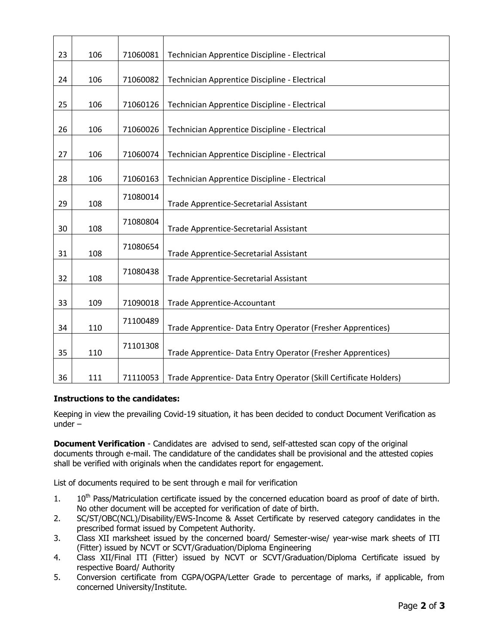| 23 | 106 | 71060081 | Technician Apprentice Discipline - Electrical                     |
|----|-----|----------|-------------------------------------------------------------------|
| 24 | 106 | 71060082 | Technician Apprentice Discipline - Electrical                     |
|    |     |          |                                                                   |
| 25 | 106 | 71060126 | Technician Apprentice Discipline - Electrical                     |
| 26 | 106 | 71060026 | Technician Apprentice Discipline - Electrical                     |
| 27 | 106 | 71060074 | Technician Apprentice Discipline - Electrical                     |
| 28 | 106 | 71060163 | Technician Apprentice Discipline - Electrical                     |
|    |     | 71080014 |                                                                   |
| 29 | 108 |          | Trade Apprentice-Secretarial Assistant                            |
| 30 | 108 | 71080804 | Trade Apprentice-Secretarial Assistant                            |
| 31 | 108 | 71080654 | <b>Trade Apprentice-Secretarial Assistant</b>                     |
| 32 | 108 | 71080438 | Trade Apprentice-Secretarial Assistant                            |
|    |     |          |                                                                   |
| 33 | 109 | 71090018 | Trade Apprentice-Accountant                                       |
| 34 | 110 | 71100489 | Trade Apprentice- Data Entry Operator (Fresher Apprentices)       |
| 35 | 110 | 71101308 | Trade Apprentice- Data Entry Operator (Fresher Apprentices)       |
|    |     |          |                                                                   |
| 36 | 111 | 71110053 | Trade Apprentice- Data Entry Operator (Skill Certificate Holders) |

## **Instructions to the candidates:**

Keeping in view the prevailing Covid-19 situation, it has been decided to conduct Document Verification as under –

**Document Verification** - Candidates are advised to send, self-attested scan copy of the original documents through e-mail. The candidature of the candidates shall be provisional and the attested copies shall be verified with originals when the candidates report for engagement.

List of documents required to be sent through e mail for verification

- 1. 10<sup>th</sup> Pass/Matriculation certificate issued by the concerned education board as proof of date of birth. No other document will be accepted for verification of date of birth.
- 2. SC/ST/OBC(NCL)/Disability/EWS-Income & Asset Certificate by reserved category candidates in the prescribed format issued by Competent Authority.
- 3. Class XII marksheet issued by the concerned board/ Semester-wise/ year-wise mark sheets of ITI (Fitter) issued by NCVT or SCVT/Graduation/Diploma Engineering
- 4. Class XII/Final ITI (Fitter) issued by NCVT or SCVT/Graduation/Diploma Certificate issued by respective Board/ Authority
- 5. Conversion certificate from CGPA/OGPA/Letter Grade to percentage of marks, if applicable, from concerned University/Institute.